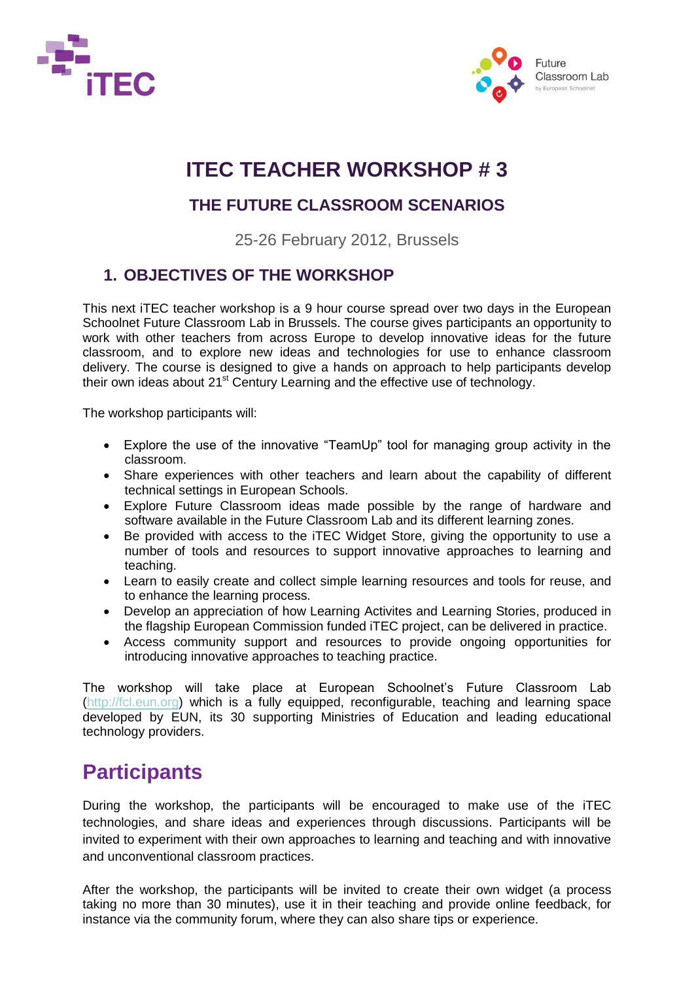



## **ITEC TEACHER WORKSHOP # 3**

### **THE FUTURE CLASSROOM SCENARIOS**

25-26 February 2012, Brussels

### **1. OBJECTIVES OF THE WORKSHOP**

This next iTEC teacher workshop is a 9 hour course spread over two days in the European Schoolnet Future Classroom Lab in Brussels. The course gives participants an opportunity to work with other teachers from across Europe to develop innovative ideas for the future classroom, and to explore new ideas and technologies for use to enhance classroom delivery. The course is designed to give a hands on approach to help participants develop their own ideas about 21<sup>st</sup> Century Learning and the effective use of technology.

The workshop participants will:

- Explore the use of the innovative "TeamUp" tool for managing group activity in the classroom.
- Share experiences with other teachers and learn about the capability of different technical settings in European Schools.
- Explore Future Classroom ideas made possible by the range of hardware and software available in the Future Classroom Lab and its different learning zones.
- Be provided with access to the iTEC Widget Store, giving the opportunity to use a number of tools and resources to support innovative approaches to learning and teaching.
- Learn to easily create and collect simple learning resources and tools for reuse, and to enhance the learning process.
- Develop an appreciation of how Learning Activites and Learning Stories, produced in the flagship European Commission funded iTEC project, can be delivered in practice.
- Access community support and resources to provide ongoing opportunities for introducing innovative approaches to teaching practice.

The workshop will take place at European Schoolnet's Future Classroom Lab [\(http://fcl.eun.org\)](http://fcl.eun.org/) which is a fully equipped, reconfigurable, teaching and learning space developed by EUN, its 30 supporting Ministries of Education and leading educational technology providers.

## **Participants**

During the workshop, the participants will be encouraged to make use of the iTEC technologies, and share ideas and experiences through discussions. Participants will be invited to experiment with their own approaches to learning and teaching and with innovative and unconventional classroom practices.

After the workshop, the participants will be invited to create their own widget (a process taking no more than 30 minutes), use it in their teaching and provide online feedback, for instance via the community forum, where they can also share tips or experience.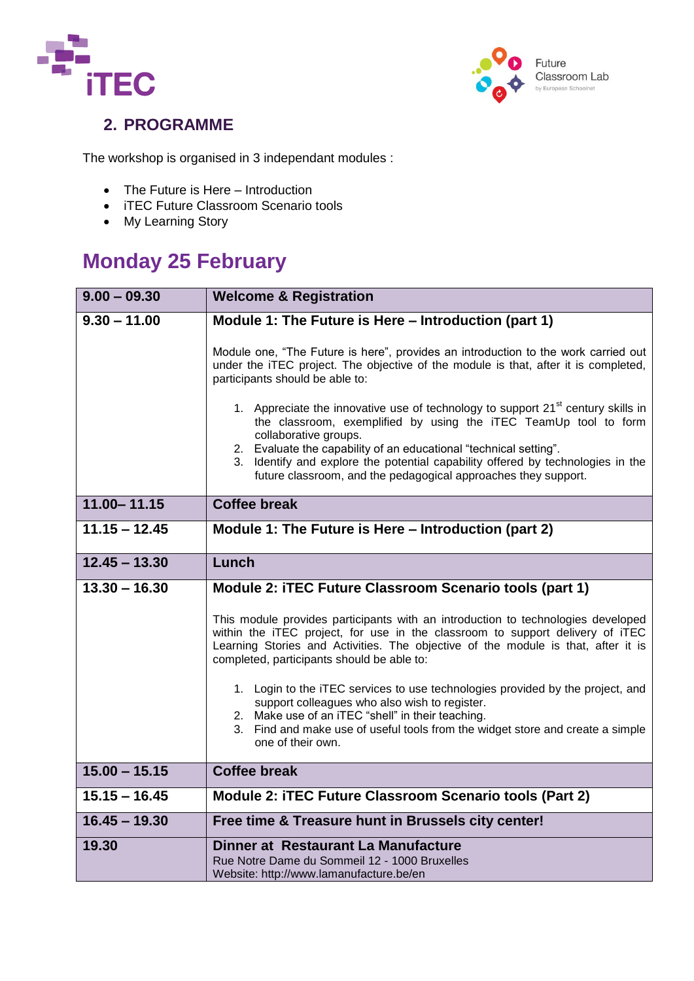



### **2. PROGRAMME**

The workshop is organised in 3 independant modules :

- The Future is Here Introduction
- iTEC Future Classroom Scenario tools
- My Learning Story

## **Monday 25 February**

| $9.00 - 09.30$  | <b>Welcome &amp; Registration</b>                                                                                                                                                                                                                                                                    |
|-----------------|------------------------------------------------------------------------------------------------------------------------------------------------------------------------------------------------------------------------------------------------------------------------------------------------------|
| $9.30 - 11.00$  | Module 1: The Future is Here - Introduction (part 1)                                                                                                                                                                                                                                                 |
|                 | Module one, "The Future is here", provides an introduction to the work carried out<br>under the iTEC project. The objective of the module is that, after it is completed,<br>participants should be able to:                                                                                         |
|                 | 1. Appreciate the innovative use of technology to support 21 <sup>st</sup> century skills in<br>the classroom, exemplified by using the iTEC TeamUp tool to form<br>collaborative groups.                                                                                                            |
|                 | 2. Evaluate the capability of an educational "technical setting".<br>3. Identify and explore the potential capability offered by technologies in the<br>future classroom, and the pedagogical approaches they support.                                                                               |
| $11.00 - 11.15$ | <b>Coffee break</b>                                                                                                                                                                                                                                                                                  |
| $11.15 - 12.45$ | Module 1: The Future is Here - Introduction (part 2)                                                                                                                                                                                                                                                 |
| $12.45 - 13.30$ | Lunch                                                                                                                                                                                                                                                                                                |
| $13.30 - 16.30$ | Module 2: iTEC Future Classroom Scenario tools (part 1)                                                                                                                                                                                                                                              |
|                 | This module provides participants with an introduction to technologies developed<br>within the iTEC project, for use in the classroom to support delivery of iTEC<br>Learning Stories and Activities. The objective of the module is that, after it is<br>completed, participants should be able to: |
|                 | 1. Login to the iTEC services to use technologies provided by the project, and<br>support colleagues who also wish to register.<br>2. Make use of an iTEC "shell" in their teaching.<br>3. Find and make use of useful tools from the widget store and create a simple<br>one of their own.          |
| $15.00 - 15.15$ | <b>Coffee break</b>                                                                                                                                                                                                                                                                                  |
| $15.15 - 16.45$ | Module 2: iTEC Future Classroom Scenario tools (Part 2)                                                                                                                                                                                                                                              |
| $16.45 - 19.30$ | Free time & Treasure hunt in Brussels city center!                                                                                                                                                                                                                                                   |
| 19.30           | Dinner at Restaurant La Manufacture<br>Rue Notre Dame du Sommeil 12 - 1000 Bruxelles<br>Website: http://www.lamanufacture.be/en                                                                                                                                                                      |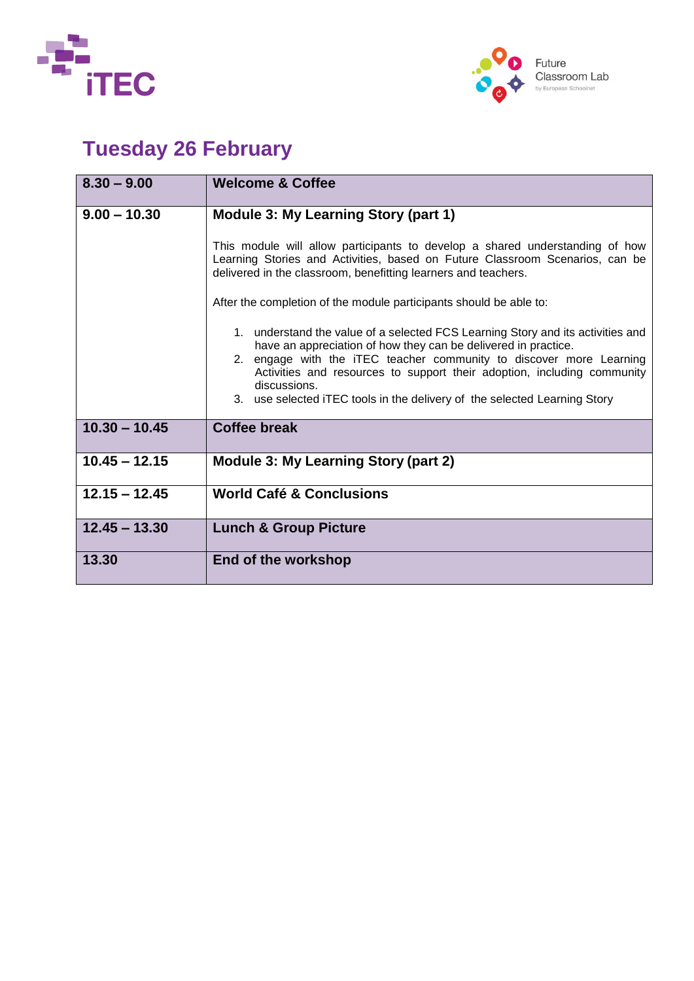



# **Tuesday 26 February**

| $8.30 - 9.00$   | <b>Welcome &amp; Coffee</b>                                                                                                                                                                                                                                                                                                                                                                      |
|-----------------|--------------------------------------------------------------------------------------------------------------------------------------------------------------------------------------------------------------------------------------------------------------------------------------------------------------------------------------------------------------------------------------------------|
| $9.00 - 10.30$  | <b>Module 3: My Learning Story (part 1)</b>                                                                                                                                                                                                                                                                                                                                                      |
|                 | This module will allow participants to develop a shared understanding of how<br>Learning Stories and Activities, based on Future Classroom Scenarios, can be<br>delivered in the classroom, benefitting learners and teachers.                                                                                                                                                                   |
|                 | After the completion of the module participants should be able to:                                                                                                                                                                                                                                                                                                                               |
|                 | 1. understand the value of a selected FCS Learning Story and its activities and<br>have an appreciation of how they can be delivered in practice.<br>2. engage with the iTEC teacher community to discover more Learning<br>Activities and resources to support their adoption, including community<br>discussions.<br>3. use selected iTEC tools in the delivery of the selected Learning Story |
| $10.30 - 10.45$ | <b>Coffee break</b>                                                                                                                                                                                                                                                                                                                                                                              |
| $10.45 - 12.15$ | <b>Module 3: My Learning Story (part 2)</b>                                                                                                                                                                                                                                                                                                                                                      |
| $12.15 - 12.45$ | <b>World Café &amp; Conclusions</b>                                                                                                                                                                                                                                                                                                                                                              |
| $12.45 - 13.30$ | <b>Lunch &amp; Group Picture</b>                                                                                                                                                                                                                                                                                                                                                                 |
| 13.30           | End of the workshop                                                                                                                                                                                                                                                                                                                                                                              |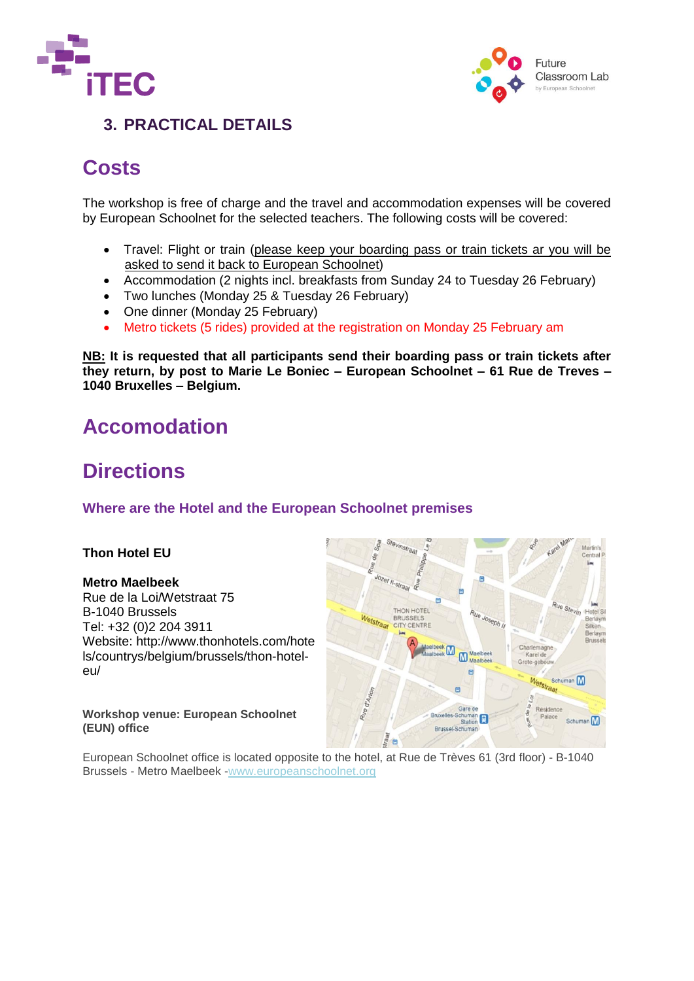



### **3. PRACTICAL DETAILS**

## **Costs**

The workshop is free of charge and the travel and accommodation expenses will be covered by European Schoolnet for the selected teachers. The following costs will be covered:

- Travel: Flight or train (please keep your boarding pass or train tickets ar you will be asked to send it back to European Schoolnet)
- Accommodation (2 nights incl. breakfasts from Sunday 24 to Tuesday 26 February)
- Two lunches (Monday 25 & Tuesday 26 February)
- One dinner (Monday 25 February)
- Metro tickets (5 rides) provided at the registration on Monday 25 February am

**NB: It is requested that all participants send their boarding pass or train tickets after they return, by post to Marie Le Boniec – European Schoolnet – 61 Rue de Treves – 1040 Bruxelles – Belgium.** 

### **Accomodation**

## **Directions**

### **Where are the Hotel and the European Schoolnet premises**

#### **Thon Hotel EU**

#### **Metro Maelbeek**

Rue de la Loi/Wetstraat 75 B-1040 Brussels Tel: +32 (0)2 204 3911 Website: [http://www.thonhotels.com/hote](http://www.thonhotels.com/hotels/countrys/belgium/brussels/thon-hotel-eu/) [ls/countrys/belgium/brussels/thon-hotel](http://www.thonhotels.com/hotels/countrys/belgium/brussels/thon-hotel-eu/)[eu/](http://www.thonhotels.com/hotels/countrys/belgium/brussels/thon-hotel-eu/)

**Workshop venue: European Schoolnet (EUN) office**



European Schoolnet office is located opposite to the hotel, at Rue de Trèves 61 (3rd floor) - B-1040 Brussels - Metro Maelbeek [-www.europeanschoolnet.org](http://www.europeanschoolnet.org/)